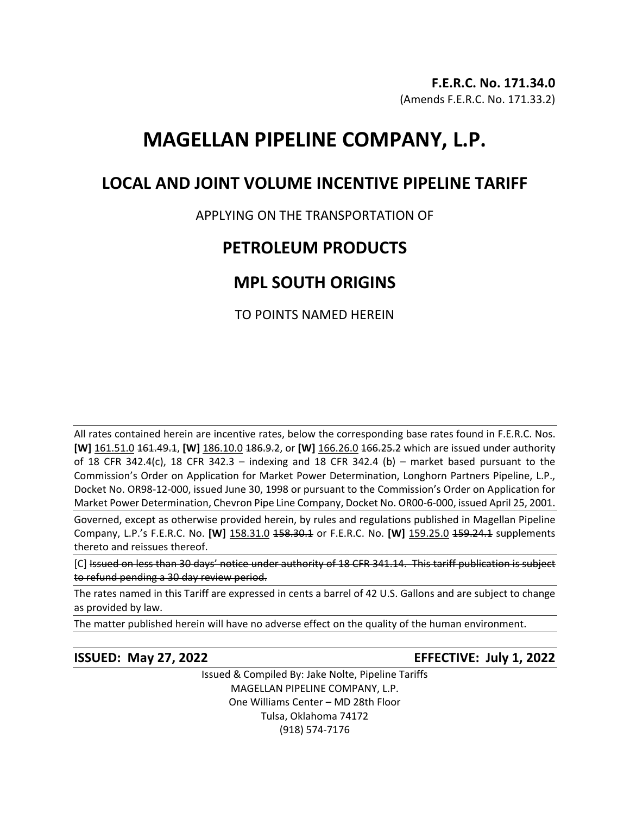# **MAGELLAN PIPELINE COMPANY, L.P.**

## **LOCAL AND JOINT VOLUME INCENTIVE PIPELINE TARIFF**

### APPLYING ON THE TRANSPORTATION OF

## **PETROLEUM PRODUCTS**

## **MPL SOUTH ORIGINS**

TO POINTS NAMED HEREIN

All rates contained herein are incentive rates, below the corresponding base rates found in F.E.R.C. Nos. **[W]** 161.51.0 161.49.1, **[W]** 186.10.0 186.9.2, or **[W]** 166.26.0 166.25.2 which are issued under authority of 18 CFR 342.4(c), 18 CFR 342.3 – indexing and 18 CFR 342.4 (b) – market based pursuant to the Commission's Order on Application for Market Power Determination, Longhorn Partners Pipeline, L.P., Docket No. OR98-12-000, issued June 30, 1998 or pursuant to the Commission's Order on Application for Market Power Determination, Chevron Pipe Line Company, Docket No. OR00-6-000, issued April 25, 2001.

Governed, except as otherwise provided herein, by rules and regulations published in Magellan Pipeline Company, L.P.'s F.E.R.C. No. **[W]** 158.31.0 158.30.1 or F.E.R.C. No. **[W]** 159.25.0 159.24.1 supplements thereto and reissues thereof.

[C] Issued on less than 30 days' notice under authority of 18 CFR 341.14. This tariff publication is subject to refund pending a 30 day review period.

The rates named in this Tariff are expressed in cents a barrel of 42 U.S. Gallons and are subject to change as provided by law.

The matter published herein will have no adverse effect on the quality of the human environment.

### **ISSUED: May 27, 2022 EFFECTIVE: July 1, 2022**

Issued & Compiled By: Jake Nolte, Pipeline Tariffs MAGELLAN PIPELINE COMPANY, L.P. One Williams Center – MD 28th Floor Tulsa, Oklahoma 74172 (918) 574-7176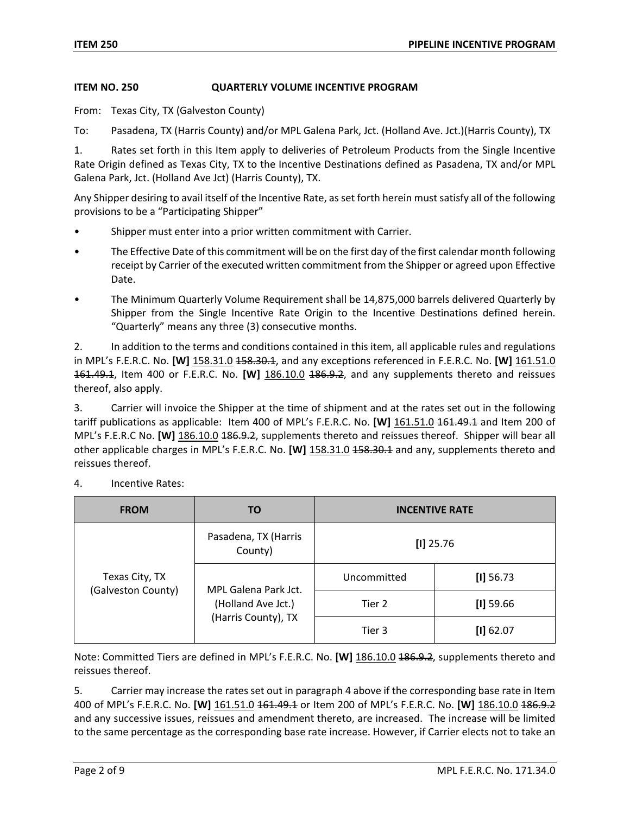#### **ITEM NO. 250 QUARTERLY VOLUME INCENTIVE PROGRAM**

From: Texas City, TX (Galveston County)

To: Pasadena, TX (Harris County) and/or MPL Galena Park, Jct. (Holland Ave. Jct.)(Harris County), TX

1. Rates set forth in this Item apply to deliveries of Petroleum Products from the Single Incentive Rate Origin defined as Texas City, TX to the Incentive Destinations defined as Pasadena, TX and/or MPL Galena Park, Jct. (Holland Ave Jct) (Harris County), TX.

Any Shipper desiring to avail itself of the Incentive Rate, as set forth herein must satisfy all of the following provisions to be a "Participating Shipper"

- Shipper must enter into a prior written commitment with Carrier.
- The Effective Date of this commitment will be on the first day of the first calendar month following receipt by Carrier of the executed written commitment from the Shipper or agreed upon Effective Date.
- The Minimum Quarterly Volume Requirement shall be 14,875,000 barrels delivered Quarterly by Shipper from the Single Incentive Rate Origin to the Incentive Destinations defined herein. "Quarterly" means any three (3) consecutive months.

2. In addition to the terms and conditions contained in this item, all applicable rules and regulations in MPL's F.E.R.C. No. **[W]** 158.31.0 158.30.1, and any exceptions referenced in F.E.R.C. No. **[W]** 161.51.0 161.49.1, Item 400 or F.E.R.C. No. **[W]** 186.10.0 186.9.2, and any supplements thereto and reissues thereof, also apply.

3. Carrier will invoice the Shipper at the time of shipment and at the rates set out in the following tariff publications as applicable: Item 400 of MPL's F.E.R.C. No. [W] 161.51.0 161.49.1 and Item 200 of MPL's F.E.R.C No. **[W]** 186.10.0 186.9.2, supplements thereto and reissues thereof. Shipper will bear all other applicable charges in MPL's F.E.R.C. No. **[W]** 158.31.0 158.30.1 and any, supplements thereto and reissues thereof.

| <b>FROM</b>                          | TO                                                                | <b>INCENTIVE RATE</b> |             |
|--------------------------------------|-------------------------------------------------------------------|-----------------------|-------------|
| Texas City, TX<br>(Galveston County) | Pasadena, TX (Harris<br>County)                                   | $[1]$ 25.76           |             |
|                                      | MPL Galena Park Jct.<br>(Holland Ave Jct.)<br>(Harris County), TX | Uncommitted           | [1] 56.73   |
|                                      |                                                                   | Tier 2                | $[1]$ 59.66 |
|                                      |                                                                   | Tier 3                | [1] 62.07   |

4. Incentive Rates:

Note: Committed Tiers are defined in MPL's F.E.R.C. No. **[W]** 186.10.0 186.9.2, supplements thereto and reissues thereof.

5. Carrier may increase the rates set out in paragraph 4 above if the corresponding base rate in Item 400 of MPL's F.E.R.C. No. **[W]** 161.51.0 161.49.1 or Item 200 of MPL's F.E.R.C. No. **[W]** 186.10.0 186.9.2 and any successive issues, reissues and amendment thereto, are increased. The increase will be limited to the same percentage as the corresponding base rate increase. However, if Carrier elects not to take an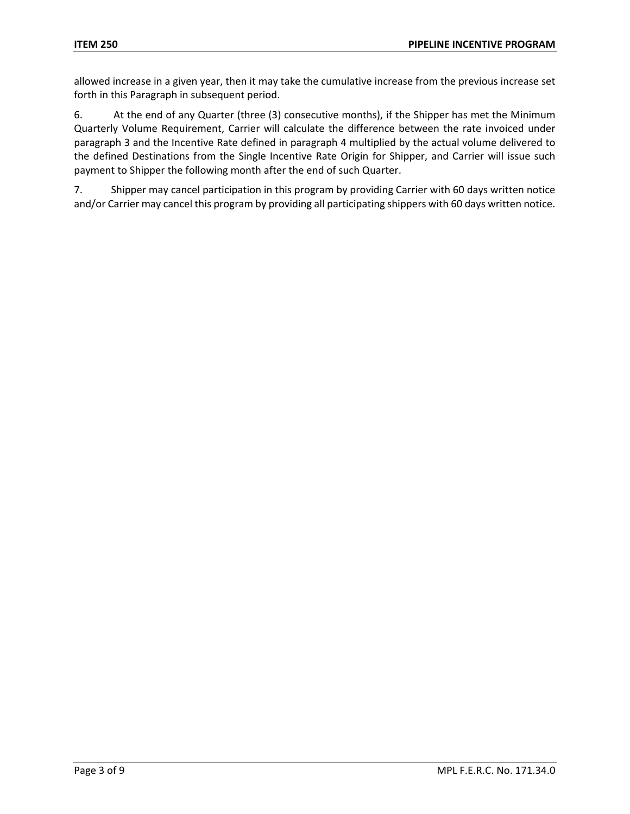allowed increase in a given year, then it may take the cumulative increase from the previous increase set forth in this Paragraph in subsequent period.

6. At the end of any Quarter (three (3) consecutive months), if the Shipper has met the Minimum Quarterly Volume Requirement, Carrier will calculate the difference between the rate invoiced under paragraph 3 and the Incentive Rate defined in paragraph 4 multiplied by the actual volume delivered to the defined Destinations from the Single Incentive Rate Origin for Shipper, and Carrier will issue such payment to Shipper the following month after the end of such Quarter.

7. Shipper may cancel participation in this program by providing Carrier with 60 days written notice and/or Carrier may cancel this program by providing all participating shippers with 60 days written notice.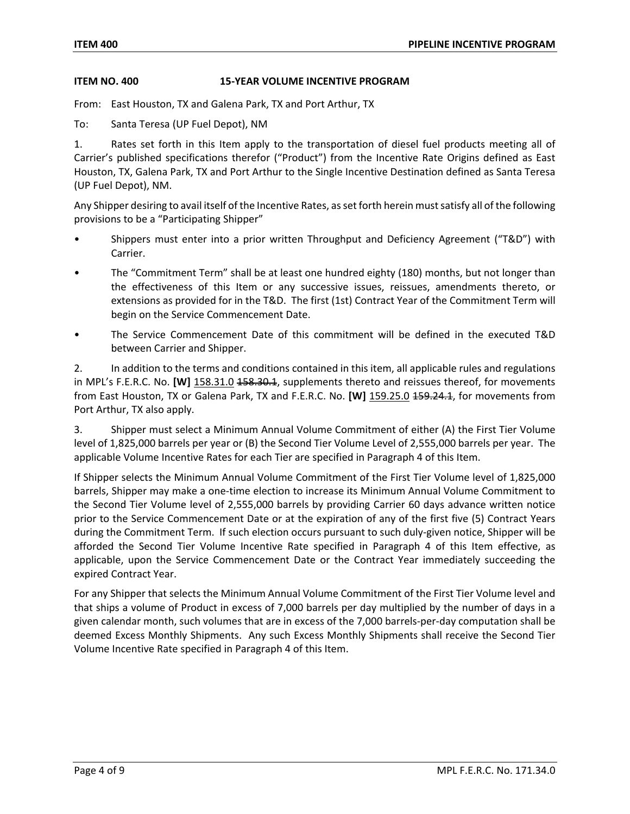#### **ITEM NO. 400 15-YEAR VOLUME INCENTIVE PROGRAM**

From: East Houston, TX and Galena Park, TX and Port Arthur, TX

To: Santa Teresa (UP Fuel Depot), NM

1. Rates set forth in this Item apply to the transportation of diesel fuel products meeting all of Carrier's published specifications therefor ("Product") from the Incentive Rate Origins defined as East Houston, TX, Galena Park, TX and Port Arthur to the Single Incentive Destination defined as Santa Teresa (UP Fuel Depot), NM.

Any Shipper desiring to avail itself of the Incentive Rates, as set forth herein must satisfy all of the following provisions to be a "Participating Shipper"

- Shippers must enter into a prior written Throughput and Deficiency Agreement ("T&D") with Carrier.
- The "Commitment Term" shall be at least one hundred eighty (180) months, but not longer than the effectiveness of this Item or any successive issues, reissues, amendments thereto, or extensions as provided for in the T&D. The first (1st) Contract Year of the Commitment Term will begin on the Service Commencement Date.
- The Service Commencement Date of this commitment will be defined in the executed T&D between Carrier and Shipper.

2. In addition to the terms and conditions contained in this item, all applicable rules and regulations in MPL's F.E.R.C. No. **[W]** 158.31.0 <del>158.30.1</del>, supplements thereto and reissues thereof, for movements from East Houston, TX or Galena Park, TX and F.E.R.C. No. **[W]** 159.25.0 459.24.1, for movements from Port Arthur, TX also apply.

3. Shipper must select a Minimum Annual Volume Commitment of either (A) the First Tier Volume level of 1,825,000 barrels per year or (B) the Second Tier Volume Level of 2,555,000 barrels per year. The applicable Volume Incentive Rates for each Tier are specified in Paragraph 4 of this Item.

If Shipper selects the Minimum Annual Volume Commitment of the First Tier Volume level of 1,825,000 barrels, Shipper may make a one-time election to increase its Minimum Annual Volume Commitment to the Second Tier Volume level of 2,555,000 barrels by providing Carrier 60 days advance written notice prior to the Service Commencement Date or at the expiration of any of the first five (5) Contract Years during the Commitment Term. If such election occurs pursuant to such duly-given notice, Shipper will be afforded the Second Tier Volume Incentive Rate specified in Paragraph 4 of this Item effective, as applicable, upon the Service Commencement Date or the Contract Year immediately succeeding the expired Contract Year.

For any Shipper that selects the Minimum Annual Volume Commitment of the First Tier Volume level and that ships a volume of Product in excess of 7,000 barrels per day multiplied by the number of days in a given calendar month, such volumes that are in excess of the 7,000 barrels-per-day computation shall be deemed Excess Monthly Shipments. Any such Excess Monthly Shipments shall receive the Second Tier Volume Incentive Rate specified in Paragraph 4 of this Item.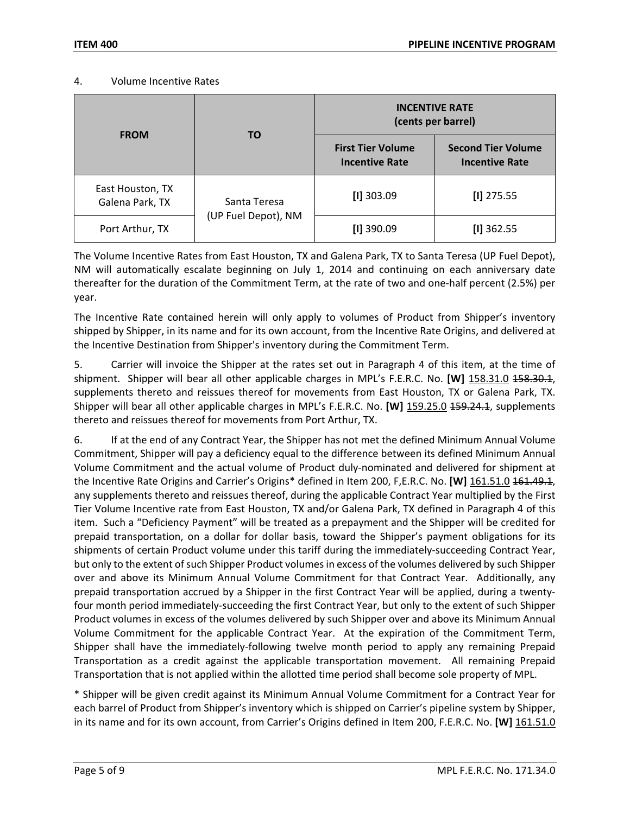#### 4. Volume Incentive Rates

| <b>FROM</b>                         | TO                                  | <b>INCENTIVE RATE</b><br>(cents per barrel)       |                                                    |
|-------------------------------------|-------------------------------------|---------------------------------------------------|----------------------------------------------------|
|                                     |                                     | <b>First Tier Volume</b><br><b>Incentive Rate</b> | <b>Second Tier Volume</b><br><b>Incentive Rate</b> |
| East Houston, TX<br>Galena Park, TX | Santa Teresa<br>(UP Fuel Depot), NM | $[1]$ 303.09                                      | $[1]$ 275.55                                       |
| Port Arthur, TX                     |                                     | $[1]$ 390.09                                      | $[1]$ 362.55                                       |

The Volume Incentive Rates from East Houston, TX and Galena Park, TX to Santa Teresa (UP Fuel Depot), NM will automatically escalate beginning on July 1, 2014 and continuing on each anniversary date thereafter for the duration of the Commitment Term, at the rate of two and one-half percent (2.5%) per year.

The Incentive Rate contained herein will only apply to volumes of Product from Shipper's inventory shipped by Shipper, in its name and for its own account, from the Incentive Rate Origins, and delivered at the Incentive Destination from Shipper's inventory during the Commitment Term.

5. Carrier will invoice the Shipper at the rates set out in Paragraph 4 of this item, at the time of shipment. Shipper will bear all other applicable charges in MPL's F.E.R.C. No. **[W]** 158.31.0 158.30.1, supplements thereto and reissues thereof for movements from East Houston, TX or Galena Park, TX. Shipper will bear all other applicable charges in MPL's F.E.R.C. No. [W] 159.25.0 459.24.1, supplements thereto and reissues thereof for movements from Port Arthur, TX.

6. If at the end of any Contract Year, the Shipper has not met the defined Minimum Annual Volume Commitment, Shipper will pay a deficiency equal to the difference between its defined Minimum Annual Volume Commitment and the actual volume of Product duly-nominated and delivered for shipment at the Incentive Rate Origins and Carrier's Origins\* defined in Item 200, F,E.R.C. No. **[W]** 161.51.0 161.49.1, any supplements thereto and reissues thereof, during the applicable Contract Year multiplied by the First Tier Volume Incentive rate from East Houston, TX and/or Galena Park, TX defined in Paragraph 4 of this item. Such a "Deficiency Payment" will be treated as a prepayment and the Shipper will be credited for prepaid transportation, on a dollar for dollar basis, toward the Shipper's payment obligations for its shipments of certain Product volume under this tariff during the immediately-succeeding Contract Year, but only to the extent of such Shipper Product volumes in excess of the volumes delivered by such Shipper over and above its Minimum Annual Volume Commitment for that Contract Year. Additionally, any prepaid transportation accrued by a Shipper in the first Contract Year will be applied, during a twentyfour month period immediately-succeeding the first Contract Year, but only to the extent of such Shipper Product volumes in excess of the volumes delivered by such Shipper over and above its Minimum Annual Volume Commitment for the applicable Contract Year. At the expiration of the Commitment Term, Shipper shall have the immediately-following twelve month period to apply any remaining Prepaid Transportation as a credit against the applicable transportation movement. All remaining Prepaid Transportation that is not applied within the allotted time period shall become sole property of MPL.

\* Shipper will be given credit against its Minimum Annual Volume Commitment for a Contract Year for each barrel of Product from Shipper's inventory which is shipped on Carrier's pipeline system by Shipper, in its name and for its own account, from Carrier's Origins defined in Item 200, F.E.R.C. No. **[W]** 161.51.0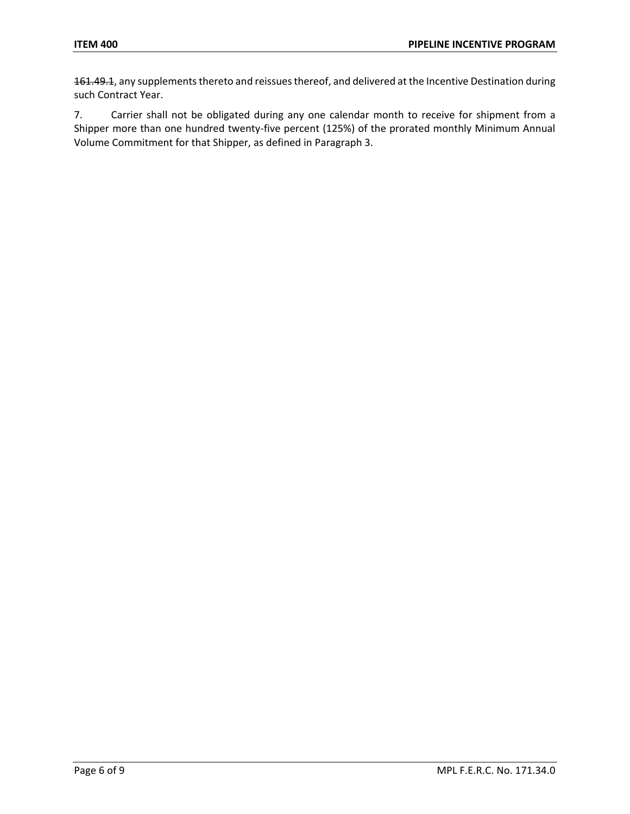161.49.1, any supplements thereto and reissues thereof, and delivered at the Incentive Destination during such Contract Year.

7. Carrier shall not be obligated during any one calendar month to receive for shipment from a Shipper more than one hundred twenty-five percent (125%) of the prorated monthly Minimum Annual Volume Commitment for that Shipper, as defined in Paragraph 3.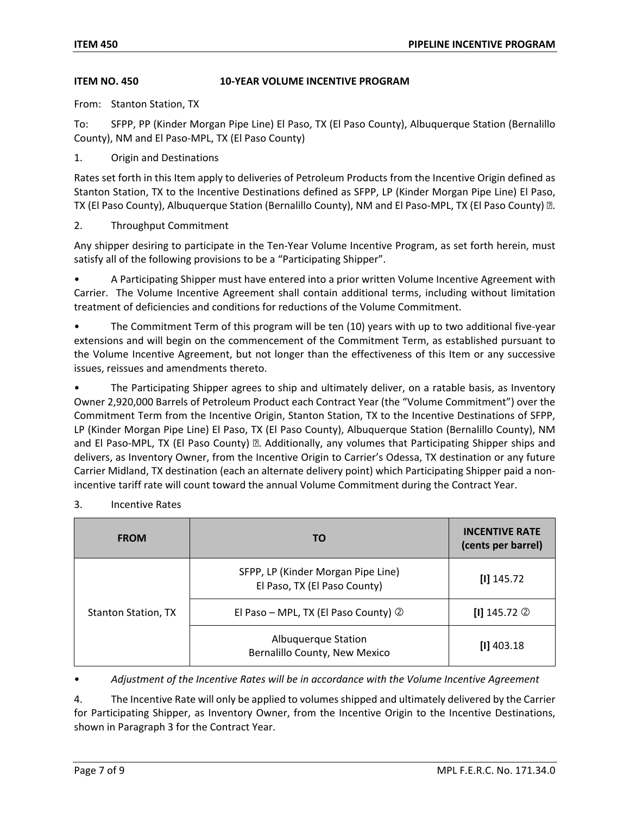#### **ITEM NO. 450 10-YEAR VOLUME INCENTIVE PROGRAM**

From: Stanton Station, TX

To: SFPP, PP (Kinder Morgan Pipe Line) El Paso, TX (El Paso County), Albuquerque Station (Bernalillo County), NM and El Paso-MPL, TX (El Paso County)

1. Origin and Destinations

Rates set forth in this Item apply to deliveries of Petroleum Products from the Incentive Origin defined as Stanton Station, TX to the Incentive Destinations defined as SFPP, LP (Kinder Morgan Pipe Line) El Paso, TX (El Paso County), Albuquerque Station (Bernalillo County), NM and El Paso-MPL, TX (El Paso County) **D**.

2. Throughput Commitment

Any shipper desiring to participate in the Ten-Year Volume Incentive Program, as set forth herein, must satisfy all of the following provisions to be a "Participating Shipper".

• A Participating Shipper must have entered into a prior written Volume Incentive Agreement with Carrier. The Volume Incentive Agreement shall contain additional terms, including without limitation treatment of deficiencies and conditions for reductions of the Volume Commitment.

• The Commitment Term of this program will be ten (10) years with up to two additional five-year extensions and will begin on the commencement of the Commitment Term, as established pursuant to the Volume Incentive Agreement, but not longer than the effectiveness of this Item or any successive issues, reissues and amendments thereto.

The Participating Shipper agrees to ship and ultimately deliver, on a ratable basis, as Inventory Owner 2,920,000 Barrels of Petroleum Product each Contract Year (the "Volume Commitment") over the Commitment Term from the Incentive Origin, Stanton Station, TX to the Incentive Destinations of SFPP, LP (Kinder Morgan Pipe Line) El Paso, TX (El Paso County), Albuquerque Station (Bernalillo County), NM and El Paso-MPL, TX (El Paso County) **D.** Additionally, any volumes that Participating Shipper ships and delivers, as Inventory Owner, from the Incentive Origin to Carrier's Odessa, TX destination or any future Carrier Midland, TX destination (each an alternate delivery point) which Participating Shipper paid a nonincentive tariff rate will count toward the annual Volume Commitment during the Contract Year.

| <b>FROM</b>                | TO                                                                 | <b>INCENTIVE RATE</b><br>(cents per barrel) |
|----------------------------|--------------------------------------------------------------------|---------------------------------------------|
| <b>Stanton Station, TX</b> | SFPP, LP (Kinder Morgan Pipe Line)<br>El Paso, TX (El Paso County) | $[1]$ 145.72                                |
|                            | El Paso - MPL, TX (El Paso County) $\circledcirc$                  | $[1]$ 145.72 $\circledcirc$                 |
|                            | Albuquerque Station<br>Bernalillo County, New Mexico               | $[1]$ 403.18                                |

3. Incentive Rates

• *Adjustment of the Incentive Rates will be in accordance with the Volume Incentive Agreement*

4. The Incentive Rate will only be applied to volumes shipped and ultimately delivered by the Carrier for Participating Shipper, as Inventory Owner, from the Incentive Origin to the Incentive Destinations, shown in Paragraph 3 for the Contract Year.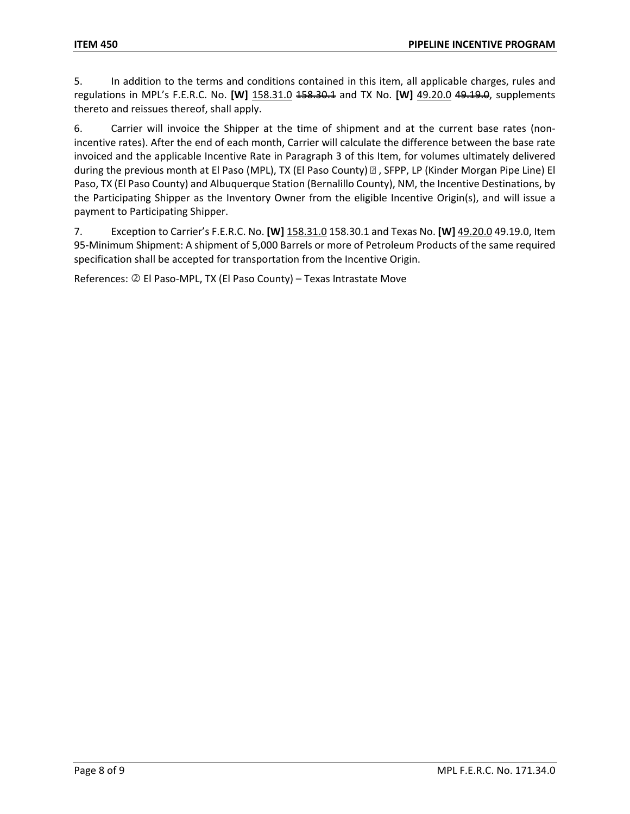5. In addition to the terms and conditions contained in this item, all applicable charges, rules and regulations in MPL's F.E.R.C. No. **[W]** 158.31.0 158.30.1 and TX No. **[W]** 49.20.0 49.19.0, supplements thereto and reissues thereof, shall apply.

6. Carrier will invoice the Shipper at the time of shipment and at the current base rates (nonincentive rates). After the end of each month, Carrier will calculate the difference between the base rate invoiced and the applicable Incentive Rate in Paragraph 3 of this Item, for volumes ultimately delivered during the previous month at El Paso (MPL), TX (El Paso County) **I**, SFPP, LP (Kinder Morgan Pipe Line) El Paso, TX (El Paso County) and Albuquerque Station (Bernalillo County), NM, the Incentive Destinations, by the Participating Shipper as the Inventory Owner from the eligible Incentive Origin(s), and will issue a payment to Participating Shipper.

7. Exception to Carrier's F.E.R.C. No. **[W]** 158.31.0 158.30.1 and Texas No. **[W]** 49.20.0 49.19.0, Item 95-Minimum Shipment: A shipment of 5,000 Barrels or more of Petroleum Products of the same required specification shall be accepted for transportation from the Incentive Origin.

References: 2 El Paso-MPL, TX (El Paso County) – Texas Intrastate Move